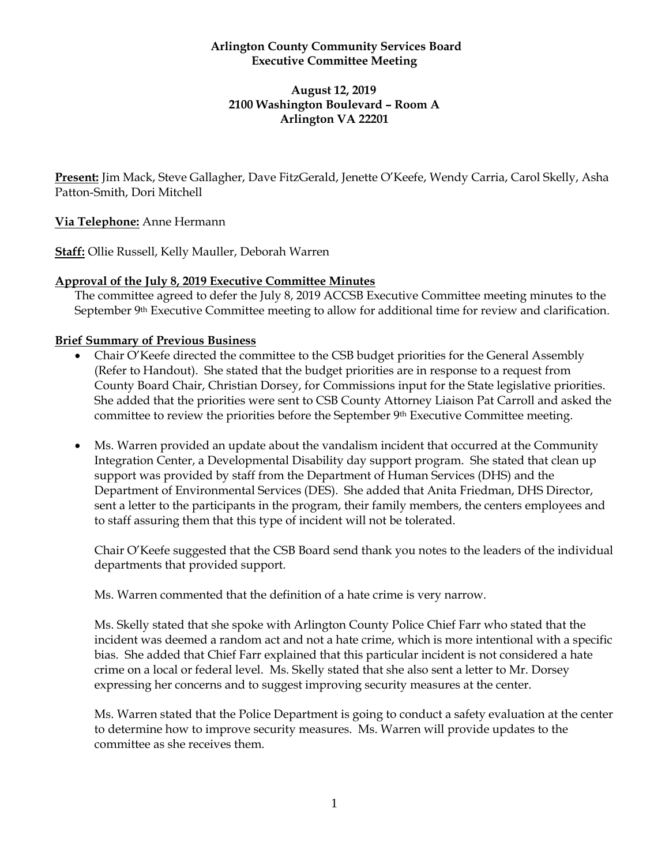#### **Arlington County Community Services Board Executive Committee Meeting**

#### **August 12, 2019 2100 Washington Boulevard – Room A Arlington VA 22201**

**Present:** Jim Mack, Steve Gallagher, Dave FitzGerald, Jenette O'Keefe, Wendy Carria, Carol Skelly, Asha Patton-Smith, Dori Mitchell

## **Via Telephone:** Anne Hermann

**Staff:** Ollie Russell, Kelly Mauller, Deborah Warren

#### **Approval of the July 8, 2019 Executive Committee Minutes**

The committee agreed to defer the July 8, 2019 ACCSB Executive Committee meeting minutes to the September 9<sup>th</sup> Executive Committee meeting to allow for additional time for review and clarification.

## **Brief Summary of Previous Business**

- Chair O'Keefe directed the committee to the CSB budget priorities for the General Assembly (Refer to Handout). She stated that the budget priorities are in response to a request from County Board Chair, Christian Dorsey, for Commissions input for the State legislative priorities. She added that the priorities were sent to CSB County Attorney Liaison Pat Carroll and asked the committee to review the priorities before the September 9th Executive Committee meeting.
- Ms. Warren provided an update about the vandalism incident that occurred at the Community Integration Center, a Developmental Disability day support program. She stated that clean up support was provided by staff from the Department of Human Services (DHS) and the Department of Environmental Services (DES). She added that Anita Friedman, DHS Director, sent a letter to the participants in the program, their family members, the centers employees and to staff assuring them that this type of incident will not be tolerated.

Chair O'Keefe suggested that the CSB Board send thank you notes to the leaders of the individual departments that provided support.

Ms. Warren commented that the definition of a hate crime is very narrow.

Ms. Skelly stated that she spoke with Arlington County Police Chief Farr who stated that the incident was deemed a random act and not a hate crime, which is more intentional with a specific bias. She added that Chief Farr explained that this particular incident is not considered a hate crime on a local or federal level. Ms. Skelly stated that she also sent a letter to Mr. Dorsey expressing her concerns and to suggest improving security measures at the center.

Ms. Warren stated that the Police Department is going to conduct a safety evaluation at the center to determine how to improve security measures. Ms. Warren will provide updates to the committee as she receives them.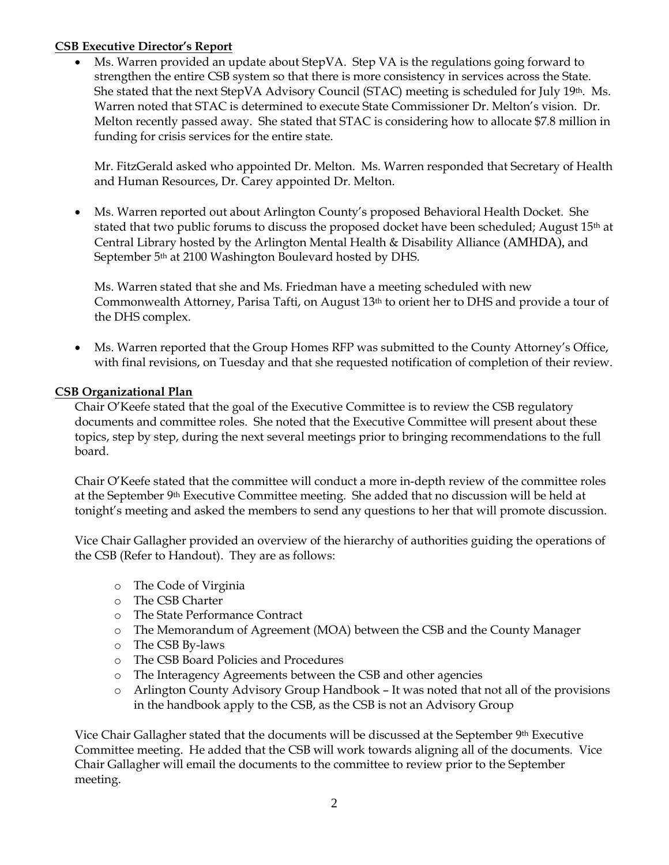## **CSB Executive Director's Report**

• Ms. Warren provided an update about StepVA. Step VA is the regulations going forward to strengthen the entire CSB system so that there is more consistency in services across the State. She stated that the next StepVA Advisory Council (STAC) meeting is scheduled for July 19<sup>th</sup>. Ms. Warren noted that STAC is determined to execute State Commissioner Dr. Melton's vision. Dr. Melton recently passed away. She stated that STAC is considering how to allocate \$7.8 million in funding for crisis services for the entire state.

Mr. FitzGerald asked who appointed Dr. Melton. Ms. Warren responded that Secretary of Health and Human Resources, Dr. Carey appointed Dr. Melton.

• Ms. Warren reported out about Arlington County's proposed Behavioral Health Docket. She stated that two public forums to discuss the proposed docket have been scheduled; August 15th at Central Library hosted by the Arlington Mental Health & Disability Alliance (AMHDA), and September 5<sup>th</sup> at 2100 Washington Boulevard hosted by DHS.

Ms. Warren stated that she and Ms. Friedman have a meeting scheduled with new Commonwealth Attorney, Parisa Tafti, on August 13th to orient her to DHS and provide a tour of the DHS complex.

• Ms. Warren reported that the Group Homes RFP was submitted to the County Attorney's Office, with final revisions, on Tuesday and that she requested notification of completion of their review.

## **CSB Organizational Plan**

Chair O'Keefe stated that the goal of the Executive Committee is to review the CSB regulatory documents and committee roles. She noted that the Executive Committee will present about these topics, step by step, during the next several meetings prior to bringing recommendations to the full board.

Chair O'Keefe stated that the committee will conduct a more in-depth review of the committee roles at the September 9th Executive Committee meeting. She added that no discussion will be held at tonight's meeting and asked the members to send any questions to her that will promote discussion.

Vice Chair Gallagher provided an overview of the hierarchy of authorities guiding the operations of the CSB (Refer to Handout). They are as follows:

- o The Code of Virginia
- o The CSB Charter
- o The State Performance Contract
- o The Memorandum of Agreement (MOA) between the CSB and the County Manager
- o The CSB By-laws
- o The CSB Board Policies and Procedures
- o The Interagency Agreements between the CSB and other agencies
- o Arlington County Advisory Group Handbook It was noted that not all of the provisions in the handbook apply to the CSB, as the CSB is not an Advisory Group

Vice Chair Gallagher stated that the documents will be discussed at the September 9th Executive Committee meeting. He added that the CSB will work towards aligning all of the documents. Vice Chair Gallagher will email the documents to the committee to review prior to the September meeting.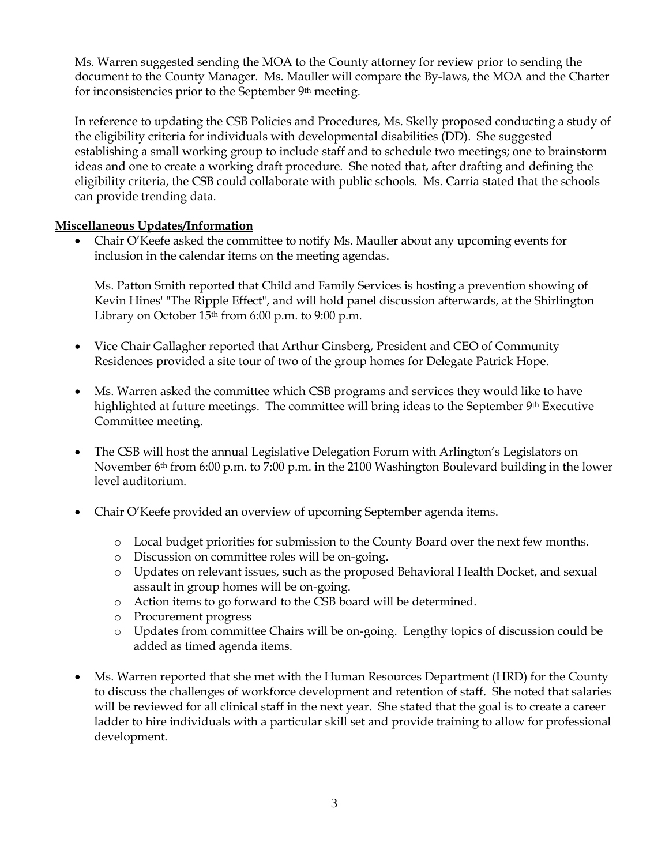Ms. Warren suggested sending the MOA to the County attorney for review prior to sending the document to the County Manager. Ms. Mauller will compare the By-laws, the MOA and the Charter for inconsistencies prior to the September 9th meeting.

In reference to updating the CSB Policies and Procedures, Ms. Skelly proposed conducting a study of the eligibility criteria for individuals with developmental disabilities (DD). She suggested establishing a small working group to include staff and to schedule two meetings; one to brainstorm ideas and one to create a working draft procedure. She noted that, after drafting and defining the eligibility criteria, the CSB could collaborate with public schools. Ms. Carria stated that the schools can provide trending data.

## **Miscellaneous Updates/Information**

• Chair O'Keefe asked the committee to notify Ms. Mauller about any upcoming events for inclusion in the calendar items on the meeting agendas.

Ms. Patton Smith reported that Child and Family Services is hosting a prevention showing of Kevin Hines' "The Ripple Effect", and will hold panel discussion afterwards, at the Shirlington Library on October  $15<sup>th</sup>$  from 6:00 p.m. to 9:00 p.m.

- Vice Chair Gallagher reported that Arthur Ginsberg, President and CEO of Community Residences provided a site tour of two of the group homes for Delegate Patrick Hope.
- Ms. Warren asked the committee which CSB programs and services they would like to have highlighted at future meetings. The committee will bring ideas to the September  $9<sup>th</sup>$  Executive Committee meeting.
- The CSB will host the annual Legislative Delegation Forum with Arlington's Legislators on November 6th from 6:00 p.m. to 7:00 p.m. in the 2100 Washington Boulevard building in the lower level auditorium.
- Chair O'Keefe provided an overview of upcoming September agenda items.
	- o Local budget priorities for submission to the County Board over the next few months.
	- o Discussion on committee roles will be on-going.
	- o Updates on relevant issues, such as the proposed Behavioral Health Docket, and sexual assault in group homes will be on-going.
	- o Action items to go forward to the CSB board will be determined.
	- o Procurement progress
	- o Updates from committee Chairs will be on-going. Lengthy topics of discussion could be added as timed agenda items.
- Ms. Warren reported that she met with the Human Resources Department (HRD) for the County to discuss the challenges of workforce development and retention of staff. She noted that salaries will be reviewed for all clinical staff in the next year. She stated that the goal is to create a career ladder to hire individuals with a particular skill set and provide training to allow for professional development.